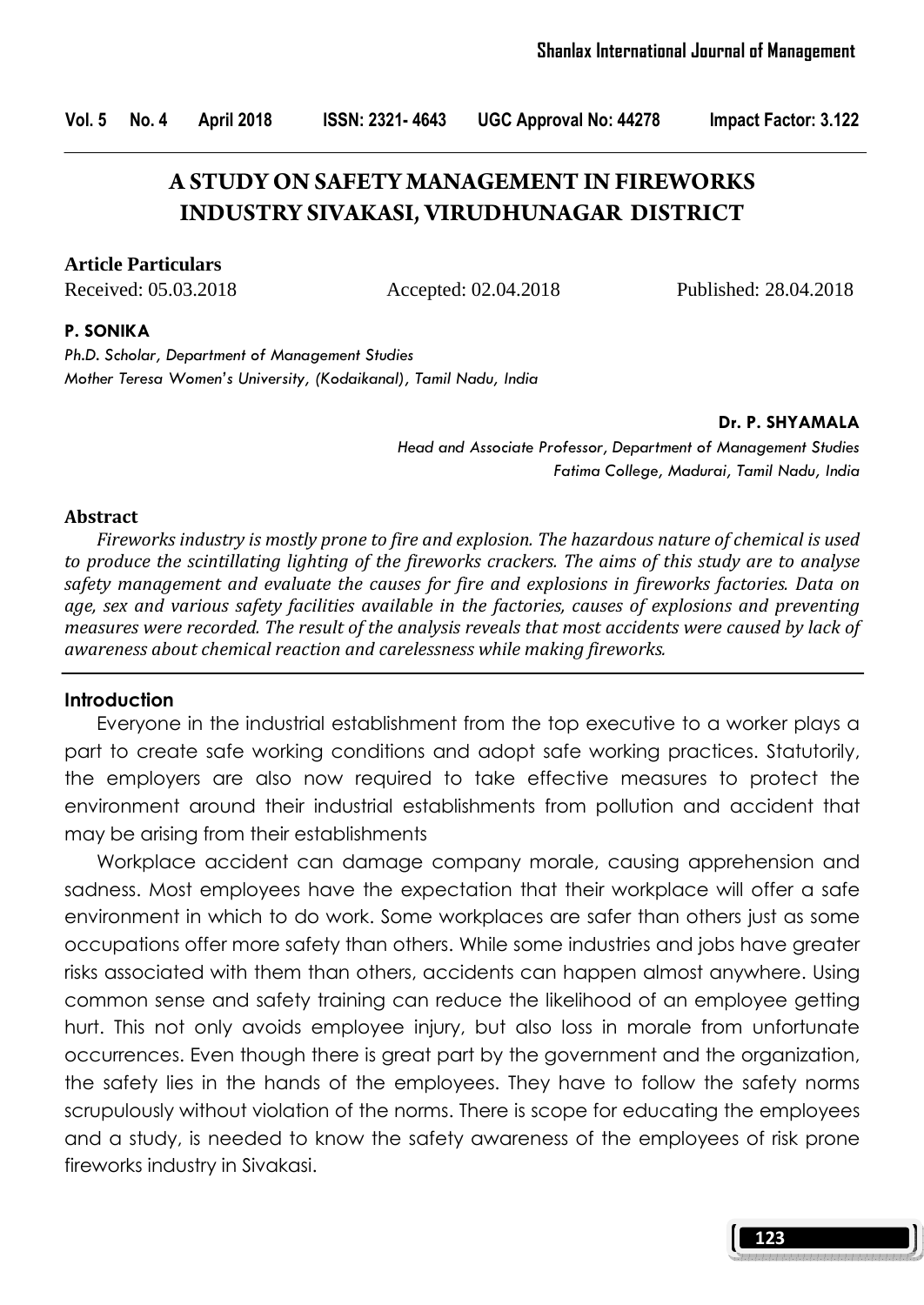Vol. 5 No. 4 April 2018 ISSN: 2321- 4643 UGC Approval No: 44278 Impact Factor: 3.122

# **A STUDY ON SAFETY MANAGEMENT IN FIREWORKS INDUSTRY SIVAKASI, VIRUDHUNAGAR DISTRICT**

#### **Article Particulars**

Received: 05.03.2018 Accepted: 02.04.2018 Published: 28.04.2018

#### P. SONIKA

Ph.D. Scholar, Department of Management Studies Mother Teresa Women's University, (Kodaikanal), Tamil Nadu, India

#### Dr. P. SHYAMALA

Head and Associate Professor, Department of Management Studies Fatima College, Madurai, Tamil Nadu, India

#### Abstract

Fireworks industry is mostly prone to fire and explosion. The hazardous nature of chemical is used to produce the scintillating lighting of the fireworks crackers. The aims of this study are to analyse safety management and evaluate the causes for fire and explosions in fireworks factories. Data on age, sex and various safety facilities available in the factories, causes of explosions and preventing measures were recorded. The result of the analysis reveals that most accidents were caused by lack of awareness about chemical reaction and carelessness while making fireworks.

#### **Introduction**

 Everyone in the industrial establishment from the top executive to a worker plays a part to create safe working conditions and adopt safe working practices. Statutorily, the employers are also now required to take effective measures to protect the environment around their industrial establishments from pollution and accident that may be arising from their establishments

 Workplace accident can damage company morale, causing apprehension and sadness. Most employees have the expectation that their workplace will offer a safe environment in which to do work. Some workplaces are safer than others just as some occupations offer more safety than others. While some industries and jobs have greater risks associated with them than others, accidents can happen almost anywhere. Using common sense and safety training can reduce the likelihood of an employee getting hurt. This not only avoids employee injury, but also loss in morale from unfortunate occurrences. Even though there is great part by the government and the organization, the safety lies in the hands of the employees. They have to follow the safety norms scrupulously without violation of the norms. There is scope for educating the employees and a study, is needed to know the safety awareness of the employees of risk prone fireworks industry in Sivakasi.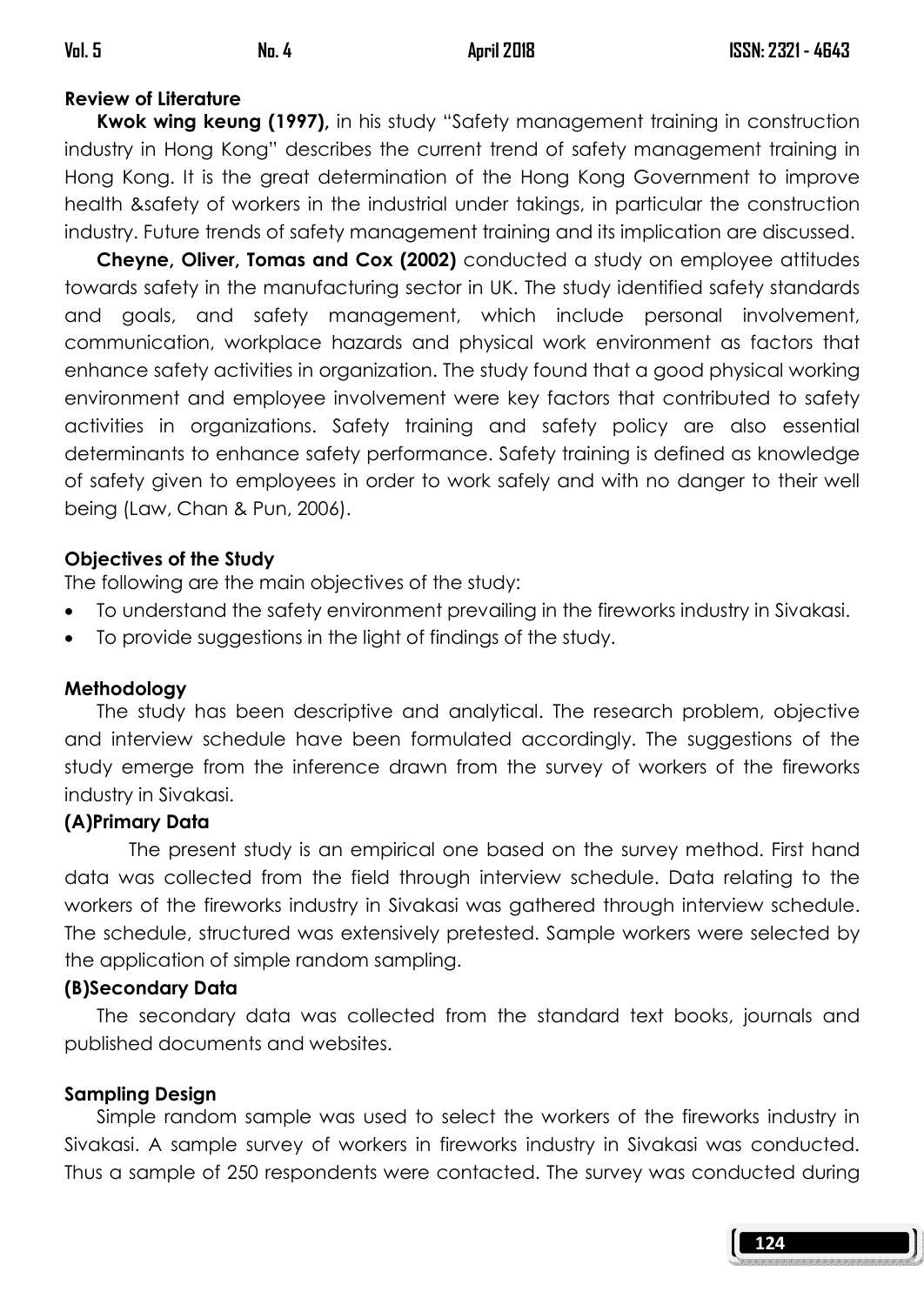## Review of Literature

Kwok wing keung (1997), in his study "Safety management training in construction industry in Hong Kong" describes the current trend of safety management training in Hong Kong. It is the great determination of the Hong Kong Government to improve health &safety of workers in the industrial under takings, in particular the construction industry. Future trends of safety management training and its implication are discussed.

 Cheyne, Oliver, Tomas and Cox (2002) conducted a study on employee attitudes towards safety in the manufacturing sector in UK. The study identified safety standards and goals, and safety management, which include personal involvement, communication, workplace hazards and physical work environment as factors that enhance safety activities in organization. The study found that a good physical working environment and employee involvement were key factors that contributed to safety activities in organizations. Safety training and safety policy are also essential determinants to enhance safety performance. Safety training is defined as knowledge of safety given to employees in order to work safely and with no danger to their well being (Law, Chan & Pun, 2006).

## Objectives of the Study

The following are the main objectives of the study:

- To understand the safety environment prevailing in the fireworks industry in Sivakasi.
- To provide suggestions in the light of findings of the study.

## Methodology

 The study has been descriptive and analytical. The research problem, objective and interview schedule have been formulated accordingly. The suggestions of the study emerge from the inference drawn from the survey of workers of the fireworks industry in Sivakasi.

## (A)Primary Data

The present study is an empirical one based on the survey method. First hand data was collected from the field through interview schedule. Data relating to the workers of the fireworks industry in Sivakasi was gathered through interview schedule. The schedule, structured was extensively pretested. Sample workers were selected by the application of simple random sampling.

## (B)Secondary Data

 The secondary data was collected from the standard text books, journals and published documents and websites.

## Sampling Design

 Simple random sample was used to select the workers of the fireworks industry in Sivakasi. A sample survey of workers in fireworks industry in Sivakasi was conducted. Thus a sample of 250 respondents were contacted. The survey was conducted during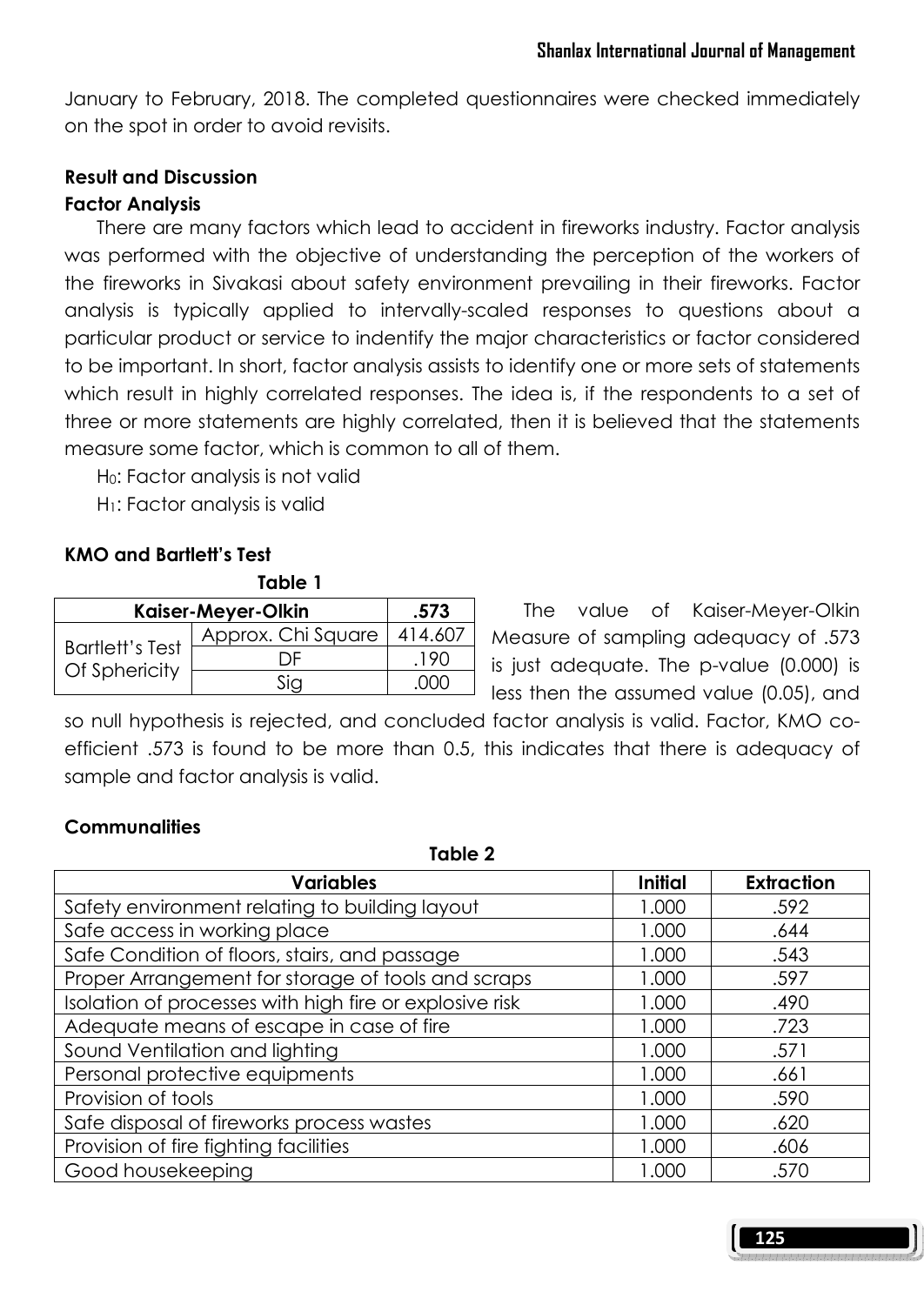January to February, 2018. The completed questionnaires were checked immediately on the spot in order to avoid revisits.

### Result and Discussion Factor Analysis

 There are many factors which lead to accident in fireworks industry. Factor analysis was performed with the objective of understanding the perception of the workers of the fireworks in Sivakasi about safety environment prevailing in their fireworks. Factor analysis is typically applied to intervally-scaled responses to questions about a particular product or service to indentify the major characteristics or factor considered to be important. In short, factor analysis assists to identify one or more sets of statements which result in highly correlated responses. The idea is, if the respondents to a set of three or more statements are highly correlated, then it is believed that the statements measure some factor, which is common to all of them.

H0: Factor analysis is not valid

H<sub>1</sub>: Factor analysis is valid

## KMO and Bartlett's Test

#### Table 1

| Kaiser-Meyer-Olkin                      | .573               |         |
|-----------------------------------------|--------------------|---------|
|                                         | Approx. Chi Square | 414.60/ |
| <b>Bartlett's Test</b><br>Of Sphericity |                    |         |
|                                         |                    |         |

 The value of Kaiser-Meyer-Olkin Measure of sampling adequacy of .573 is just adequate. The p-value (0.000) is less then the assumed value (0.05), and

so null hypothesis is rejected, and concluded factor analysis is valid. Factor, KMO coefficient .573 is found to be more than 0.5, this indicates that there is adequacy of sample and factor analysis is valid.

### **Communalities**

Table 2

| <b>Variables</b>                                        | Initial | <b>Extraction</b> |
|---------------------------------------------------------|---------|-------------------|
| Safety environment relating to building layout          | 1.000   | .592              |
| Safe access in working place                            | 1.000   | .644              |
| Safe Condition of floors, stairs, and passage           | 1.000   | .543              |
| Proper Arrangement for storage of tools and scraps      | 1.000   | .597              |
| Isolation of processes with high fire or explosive risk | 1.000   | .490              |
| Adequate means of escape in case of fire                | 1.000   | .723              |
| Sound Ventilation and lighting                          | 1.000   | .571              |
| Personal protective equipments                          | 1.000   | .661              |
| Provision of tools                                      | 1.000   | .590              |
| Safe disposal of fireworks process wastes               | 1.000   | .620              |
| Provision of fire fighting facilities                   | 1.000   | .606              |
| Good housekeeping                                       | 1.000   | .570              |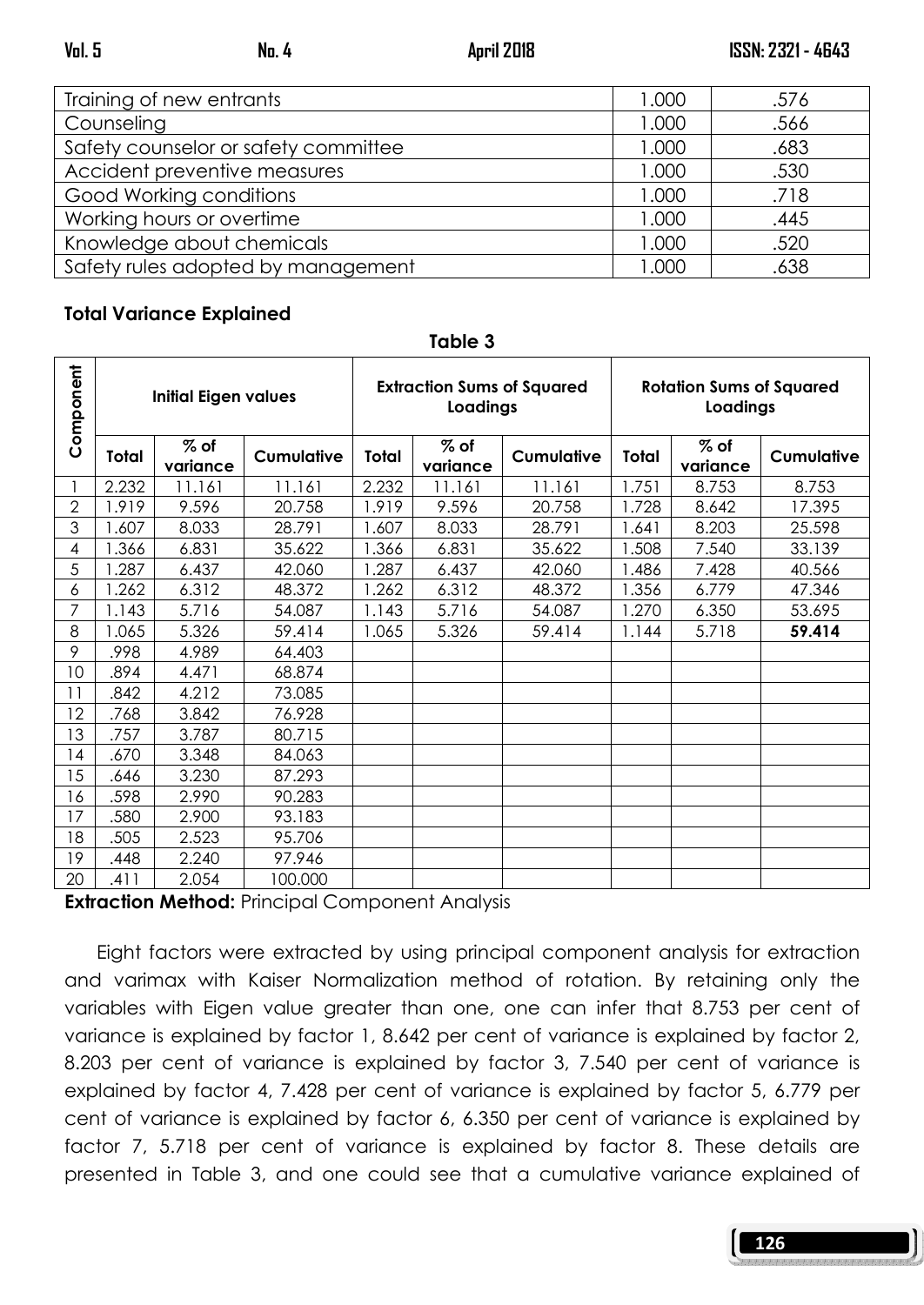| Training of new entrants             | 1.000 | .576 |
|--------------------------------------|-------|------|
| Counseling                           | 1.000 | .566 |
| Safety counselor or safety committee | 1.000 | .683 |
| Accident preventive measures         | 1.000 | .530 |
| Good Working conditions              | 1.000 | .718 |
| Working hours or overtime            | 1.000 | .445 |
| Knowledge about chemicals            | 1.000 | .520 |
| Safety rules adopted by management   | 1.000 | .638 |

### Total Variance Explained

| Component      | <b>Initial Eigen values</b> |                    | <b>Extraction Sums of Squared</b><br>Loadings |       | <b>Rotation Sums of Squared</b><br>Loadings |                   |       |                    |                   |
|----------------|-----------------------------|--------------------|-----------------------------------------------|-------|---------------------------------------------|-------------------|-------|--------------------|-------------------|
|                | Total                       | $%$ of<br>variance | <b>Cumulative</b>                             | Total | $%$ of<br>variance                          | <b>Cumulative</b> | Total | $%$ of<br>variance | <b>Cumulative</b> |
|                | 2.232                       | 11.161             | 11.161                                        | 2.232 | 11.161                                      | 11.161            | 1.751 | 8.753              | 8.753             |
| $\mathbf{2}$   | 1.919                       | 9.596              | 20.758                                        | 1.919 | 9.596                                       | 20.758            | 1.728 | 8.642              | 17.395            |
| 3              | 1.607                       | 8.033              | 28.791                                        | 1.607 | 8.033                                       | 28.791            | 1.641 | 8.203              | 25.598            |
| 4              | 1.366                       | 6.831              | 35.622                                        | 1.366 | 6.831                                       | 35.622            | .508  | 7.540              | 33.139            |
| 5              | 1.287                       | 6.437              | 42.060                                        | 1.287 | 6.437                                       | 42.060            | 1.486 | 7.428              | 40.566            |
| 6              | 1.262                       | 6.312              | 48.372                                        | 1.262 | 6.312                                       | 48.372            | 1.356 | 6.779              | 47.346            |
| $\overline{7}$ | 1.143                       | 5.716              | 54.087                                        | 1.143 | 5.716                                       | 54.087            | 1.270 | 6.350              | 53.695            |
| 8              | 1.065                       | 5.326              | 59.414                                        | 1.065 | 5.326                                       | 59.414            | 1.144 | 5.718              | 59.414            |
| 9              | .998                        | 4.989              | 64.403                                        |       |                                             |                   |       |                    |                   |
| 10             | .894                        | 4.471              | 68.874                                        |       |                                             |                   |       |                    |                   |
| 11             | .842                        | 4.212              | 73.085                                        |       |                                             |                   |       |                    |                   |
| 12             | .768                        | 3.842              | 76.928                                        |       |                                             |                   |       |                    |                   |
| 13             | .757                        | 3.787              | 80.715                                        |       |                                             |                   |       |                    |                   |
| 14             | .670                        | 3.348              | 84.063                                        |       |                                             |                   |       |                    |                   |
| 15             | .646                        | 3.230              | 87.293                                        |       |                                             |                   |       |                    |                   |
| 16             | .598                        | 2.990              | 90.283                                        |       |                                             |                   |       |                    |                   |
| 17             | .580                        | 2.900              | 93.183                                        |       |                                             |                   |       |                    |                   |
| 18             | .505                        | 2.523              | 95.706                                        |       |                                             |                   |       |                    |                   |
| 19             | .448                        | 2.240              | 97.946                                        |       |                                             |                   |       |                    |                   |
| 20             | .411                        | 2.054              | 100.000                                       |       |                                             |                   |       |                    |                   |

Table 3

**Extraction Method: Principal Component Analysis** 

 Eight factors were extracted by using principal component analysis for extraction and varimax with Kaiser Normalization method of rotation. By retaining only the variables with Eigen value greater than one, one can infer that 8.753 per cent of variance is explained by factor 1, 8.642 per cent of variance is explained by factor 2, 8.203 per cent of variance is explained by factor 3, 7.540 per cent of variance is explained by factor 4, 7.428 per cent of variance is explained by factor 5, 6.779 per cent of variance is explained by factor 6, 6.350 per cent of variance is explained by factor 7, 5.718 per cent of variance is explained by factor 8. These details are presented in Table 3, and one could see that a cumulative variance explained of